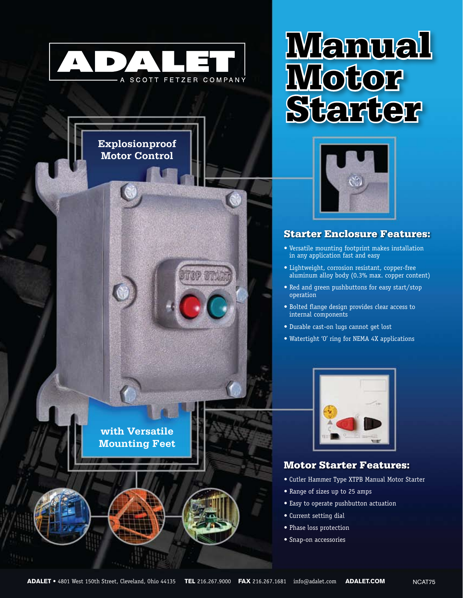



**with Versatile Mounting Feet**





## Starter Enclosure Features:

- • Versatile mounting footprint makes installation in any application fast and easy
- • Lightweight, corrosion resistant, copper-free aluminum alloy body (0.3% max. copper content)
- Red and green pushbuttons for easy start/stop operation
- • Bolted flange design provides clear access to internal components
- • Durable cast-on lugs cannot get lost
- Watertight 'O' ring for NEMA 4X applications



### Motor Starter Features:

- Cutler Hammer Type XTPB Manual Motor Starter
- Range of sizes up to 25 amps
- • Easy to operate pushbutton actuation
- • Current setting dial
- • Phase loss protection
- • Snap-on accessories